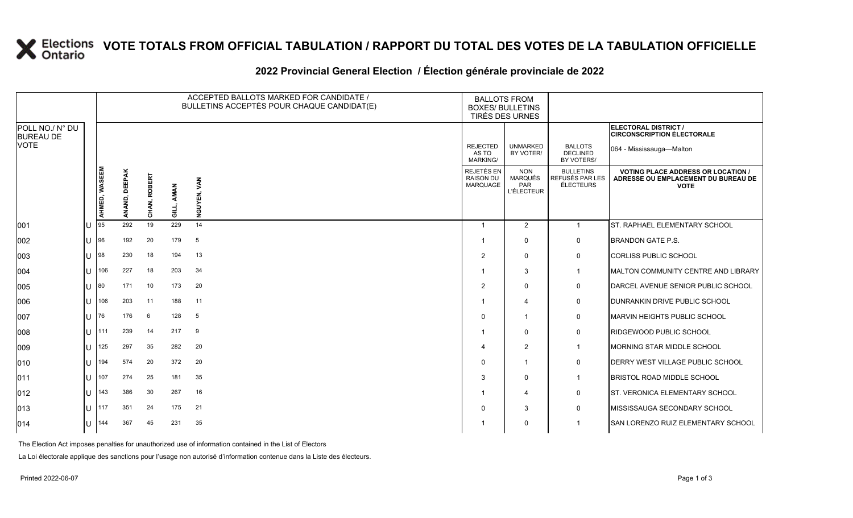# **X** Elections VOTE TOTALS FROM OFFICIAL TABULATION / RAPPORT DU TOTAL DES VOTES DE LA TABULATION OFFICIELLE

#### **2022 Provincial General Election / Élection générale provinciale de 2022**

|                                     |               | ACCEPTED BALLOTS MARKED FOR CANDIDATE /<br><b>BALLOTS FROM</b><br>BULLETINS ACCEPTÉS POUR CHAQUE CANDIDAT(E)<br><b>BOXES/ BULLETINS</b><br>TIRÉS DES URNES |              |           |                        |                                             |                                                          |                                                  |                                                                                                 |
|-------------------------------------|---------------|------------------------------------------------------------------------------------------------------------------------------------------------------------|--------------|-----------|------------------------|---------------------------------------------|----------------------------------------------------------|--------------------------------------------------|-------------------------------------------------------------------------------------------------|
| POLL NO./ N° DU<br><b>BUREAU DE</b> |               |                                                                                                                                                            |              |           |                        |                                             |                                                          |                                                  | ELECTORAL DISTRICT /<br><b>CIRCONSCRIPTION ÉLECTORALE</b>                                       |
| <b>VOTE</b>                         |               |                                                                                                                                                            |              |           |                        | <b>REJECTED</b><br>AS TO<br><b>MARKING/</b> | <b>UNMARKED</b><br>BY VOTER/                             | <b>BALLOTS</b><br><b>DECLINED</b><br>BY VOTERS/  | 064 - Mississauga-Malton                                                                        |
|                                     | AHMED, WASEEM | <b>DEEPAK</b><br>ANAND,                                                                                                                                    | CHAN, ROBERT | AMAN<br>킁 | <b>GUYEN, VAN</b><br>ž | REJETÉS EN<br><b>RAISON DU</b><br>MARQUAGE  | <b>NON</b><br><b>MARQUÉS</b><br>PAR<br><b>L'ÉLECTEUR</b> | <b>BULLETINS</b><br>REFUSÉS PAR LES<br>ÉLECTEURS | <b>VOTING PLACE ADDRESS OR LOCATION /</b><br>ADRESSE OU EMPLACEMENT DU BUREAU DE<br><b>VOTE</b> |
| 001                                 | 95            | 292                                                                                                                                                        | 19           | 229       | 14                     | $\overline{1}$                              | $\overline{2}$                                           | $\mathbf{1}$                                     | <b>IST. RAPHAEL ELEMENTARY SCHOOL</b>                                                           |
| 002                                 | 196           | 192                                                                                                                                                        | 20           | 179       | 5                      | -1                                          | $\mathbf{0}$                                             | 0                                                | <b>BRANDON GATE P.S.</b>                                                                        |
| 003                                 | 98            | 230                                                                                                                                                        | 18           | 194       | 13                     | $\overline{2}$                              | $\mathbf{0}$                                             | 0                                                | <b>CORLISS PUBLIC SCHOOL</b>                                                                    |
| 004                                 | 106           | 227                                                                                                                                                        | 18           | 203       | 34                     |                                             | 3                                                        | $\mathbf 1$                                      | MALTON COMMUNITY CENTRE AND LIBRARY                                                             |
| 005                                 | 180           | 171                                                                                                                                                        | 10           | 173       | 20                     | $\overline{2}$                              | $\mathbf{0}$                                             | 0                                                | DARCEL AVENUE SENIOR PUBLIC SCHOOL                                                              |
| 006                                 | 106           | 203                                                                                                                                                        | 11           | 188       | 11                     | -1                                          | 4                                                        | 0                                                | DUNRANKIN DRIVE PUBLIC SCHOOL                                                                   |
| 007                                 | 76            | 176                                                                                                                                                        | 6            | 128       | 5                      | $\Omega$                                    | 1                                                        | 0                                                | <b>MARVIN HEIGHTS PUBLIC SCHOOL</b>                                                             |
| 008                                 | II 111        | 239                                                                                                                                                        | 14           | 217       | 9                      |                                             | $\mathbf{0}$                                             | $\mathbf 0$                                      | <b>RIDGEWOOD PUBLIC SCHOOL</b>                                                                  |
| 009                                 | 125           | 297                                                                                                                                                        | 35           | 282       | 20                     | 4                                           | 2                                                        | $\overline{1}$                                   | MORNING STAR MIDDLE SCHOOL                                                                      |
| 010                                 | 194           | 574                                                                                                                                                        | 20           | 372       | 20                     | $\Omega$                                    | $\mathbf{1}$                                             | 0                                                | <b>DERRY WEST VILLAGE PUBLIC SCHOOL</b>                                                         |
| 011                                 | 107           | 274                                                                                                                                                        | 25           | 181       | 35                     | 3                                           | $\mathbf{0}$                                             | $\mathbf 1$                                      | <b>BRISTOL ROAD MIDDLE SCHOOL</b>                                                               |
| 012                                 | 143           | 386                                                                                                                                                        | 30           | 267       | 16                     | -1                                          | 4                                                        | 0                                                | <b>ST. VERONICA ELEMENTARY SCHOOL</b>                                                           |
| 013                                 | 117           | 351                                                                                                                                                        | 24           | 175       | 21                     | $\Omega$                                    | 3                                                        | $\mathbf 0$                                      | MISSISSAUGA SECONDARY SCHOOL                                                                    |
| 014                                 | 144           | 367                                                                                                                                                        | 45           | 231       | 35                     |                                             | $\Omega$                                                 | -1                                               | SAN LORENZO RUIZ ELEMENTARY SCHOOL                                                              |

The Election Act imposes penalties for unauthorized use of information contained in the List of Electors

La Loi électorale applique des sanctions pour l'usage non autorisé d'information contenue dans la Liste des électeurs.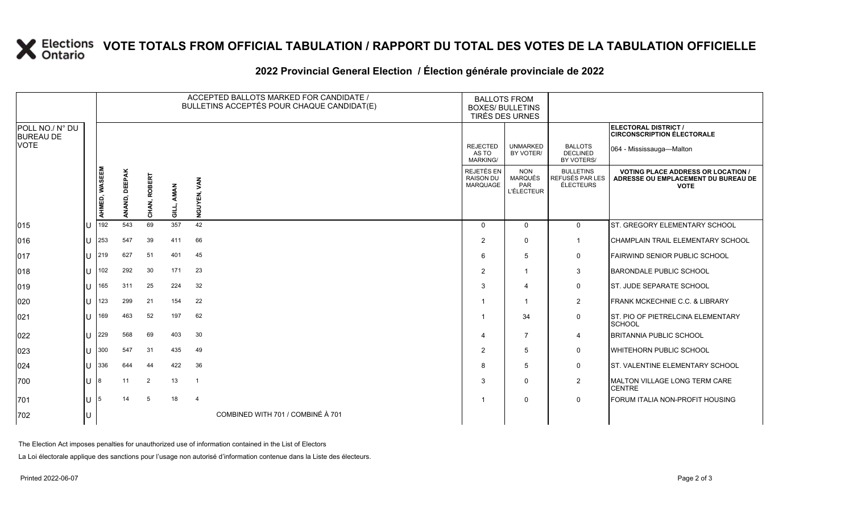# **X** Elections VOTE TOTALS FROM OFFICIAL TABULATION / RAPPORT DU TOTAL DES VOTES DE LA TABULATION OFFICIELLE

#### **2022 Provincial General Election / Élection générale provinciale de 2022**

|                                     |                       | ACCEPTED BALLOTS MARKED FOR CANDIDATE /<br>BULLETINS ACCEPTÉS POUR CHAQUE CANDIDAT(E) |               |              |       |                                   | <b>BALLOTS FROM</b><br><b>BOXES/ BULLETINS</b><br>TIRÉS DES URNES |                                                          |                                                         |                                                                                                 |
|-------------------------------------|-----------------------|---------------------------------------------------------------------------------------|---------------|--------------|-------|-----------------------------------|-------------------------------------------------------------------|----------------------------------------------------------|---------------------------------------------------------|-------------------------------------------------------------------------------------------------|
| POLL NO./ N° DU<br><b>BUREAU DE</b> |                       |                                                                                       |               |              |       |                                   |                                                                   |                                                          |                                                         | ELECTORAL DISTRICT /<br><b>CIRCONSCRIPTION ÉLECTORALE</b>                                       |
| <b>VOTE</b>                         |                       |                                                                                       |               |              |       |                                   | <b>REJECTED</b><br>AS TO<br><b>MARKING/</b>                       | <b>UNMARKED</b><br>BY VOTER/                             | <b>BALLOTS</b><br><b>DECLINED</b><br>BY VOTERS/         | 064 - Mississauga-Malton                                                                        |
|                                     |                       | AHMED, WASEEM                                                                         | ANAND, DEEPAK | CHAN, ROBERT | AMAN  | <b>GUYEN, VAN</b>                 | REJETÉS EN<br><b>RAISON DU</b><br>MARQUAGE                        | <b>NON</b><br><b>MARQUÉS</b><br>PAR<br><b>L'ÉLECTEUR</b> | <b>BULLETINS</b><br>REFUSÉS PAR LES<br><b>ÉLECTEURS</b> | <b>VOTING PLACE ADDRESS OR LOCATION /</b><br>ADRESSE OU EMPLACEMENT DU BUREAU DE<br><b>VOTE</b> |
|                                     |                       |                                                                                       |               |              | GILL, | Ž                                 |                                                                   |                                                          |                                                         |                                                                                                 |
| 015                                 | u                     | 192                                                                                   | 543           | 69           | 357   | 42                                | $\Omega$                                                          | $\Omega$                                                 | $\mathbf 0$                                             | ST. GREGORY ELEMENTARY SCHOOL                                                                   |
| 016                                 | U                     | 253                                                                                   | 547           | 39           | 411   | 66                                | 2                                                                 | $\mathbf 0$                                              | $\mathbf{1}$                                            | <b>CHAMPLAIN TRAIL ELEMENTARY SCHOOL</b>                                                        |
| 017                                 |                       | $11 \,   219$                                                                         | 627           | 51           | 401   | 45                                | 6                                                                 | 5                                                        | 0                                                       | FAIRWIND SENIOR PUBLIC SCHOOL                                                                   |
| 018                                 | $\cup$                | 102                                                                                   | 292           | 30           | 171   | 23                                | 2                                                                 | $\overline{1}$                                           | 3                                                       | <b>BARONDALE PUBLIC SCHOOL</b>                                                                  |
| 019                                 | $\mathbf{U}$          | 165                                                                                   | 311           | 25           | 224   | 32                                | 3                                                                 | 4                                                        | $\mathbf 0$                                             | <b>ST. JUDE SEPARATE SCHOOL</b>                                                                 |
| 020                                 | U                     | 123                                                                                   | 299           | 21           | 154   | 22                                |                                                                   | -1                                                       | $\overline{2}$                                          | <b>FRANK MCKECHNIE C.C. &amp; LIBRARY</b>                                                       |
| 021                                 | U                     | 169                                                                                   | 463           | 52           | 197   | 62                                |                                                                   | 34                                                       | $\mathbf 0$                                             | ST. PIO OF PIETRELCINA ELEMENTARY<br><b>SCHOOL</b>                                              |
| 022                                 | U                     | 229                                                                                   | 568           | 69           | 403   | 30                                | 4                                                                 | $\overline{7}$                                           | $\overline{4}$                                          | <b>BRITANNIA PUBLIC SCHOOL</b>                                                                  |
| 023                                 | $\mathbf{U}$          | 300                                                                                   | 547           | 31           | 435   | 49                                | $\overline{2}$                                                    | 5                                                        | $\mathbf 0$                                             | <b>WHITEHORN PUBLIC SCHOOL</b>                                                                  |
| 024                                 | $\cup$                | 336                                                                                   | 644           | 44           | 422   | 36                                | 8                                                                 | -5                                                       | $\mathbf 0$                                             | <b>ST. VALENTINE ELEMENTARY SCHOOL</b>                                                          |
| 700                                 | U $ 8 $               |                                                                                       | 11            | 2            | 13    | $\overline{1}$                    | 3                                                                 | $\mathbf 0$                                              | $\overline{2}$                                          | MALTON VILLAGE LONG TERM CARE<br><b>CENTRE</b>                                                  |
| 701                                 | $\lfloor \rfloor$   5 |                                                                                       | 14            | 5            | 18    | $\overline{4}$                    |                                                                   | $\mathbf 0$                                              | $\mathbf 0$                                             | FORUM ITALIA NON-PROFIT HOUSING                                                                 |
| 702                                 | U                     |                                                                                       |               |              |       | COMBINED WITH 701 / COMBINÉ À 701 |                                                                   |                                                          |                                                         |                                                                                                 |

The Election Act imposes penalties for unauthorized use of information contained in the List of Electors

La Loi électorale applique des sanctions pour l'usage non autorisé d'information contenue dans la Liste des électeurs.